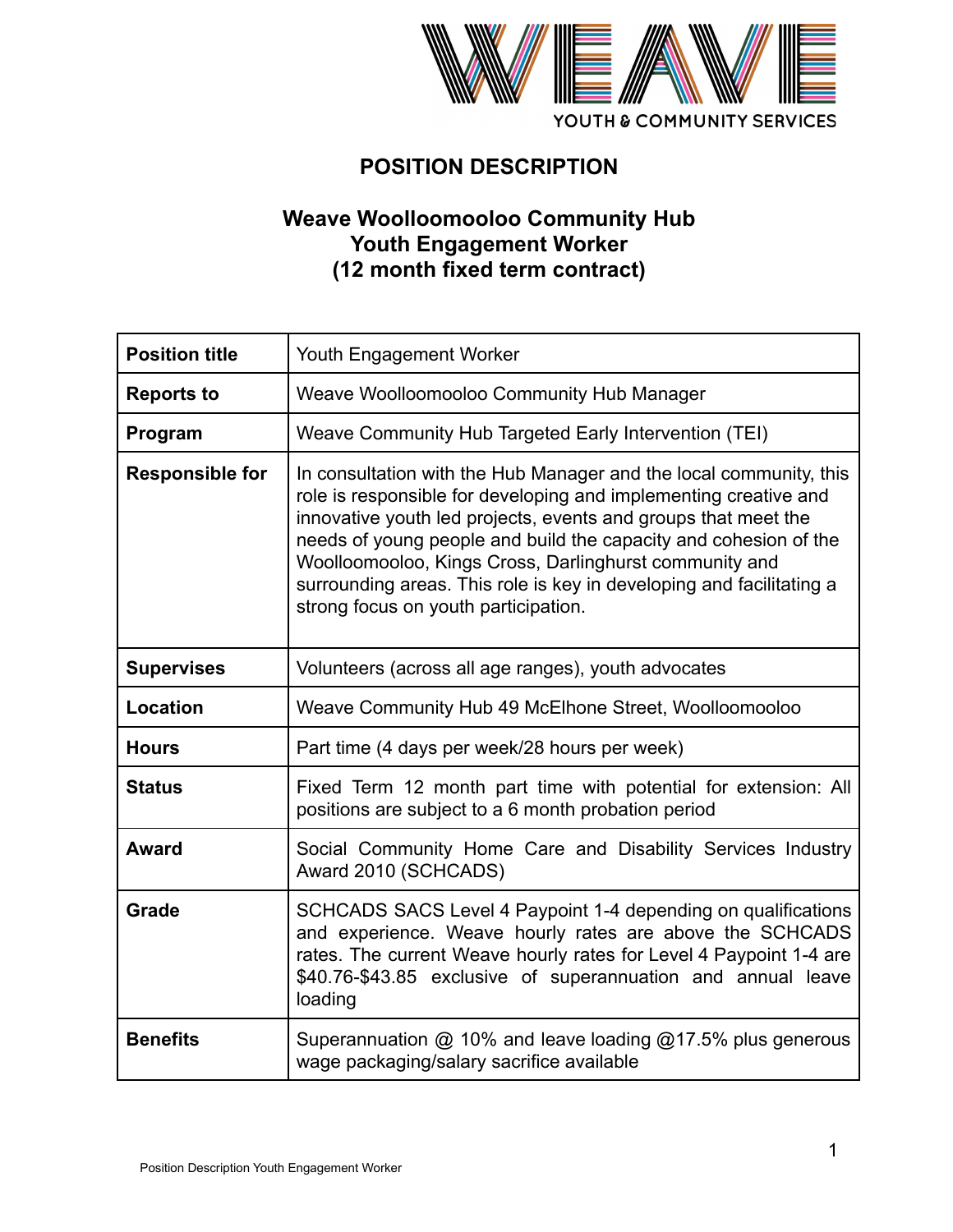

# **POSITION DESCRIPTION**

# **Weave Woolloomooloo Community Hub Youth Engagement Worker (12 month fixed term contract)**

| <b>Position title</b>  | Youth Engagement Worker                                                                                                                                                                                                                                                                                                                                                                                                                                |
|------------------------|--------------------------------------------------------------------------------------------------------------------------------------------------------------------------------------------------------------------------------------------------------------------------------------------------------------------------------------------------------------------------------------------------------------------------------------------------------|
| <b>Reports to</b>      | Weave Woolloomooloo Community Hub Manager                                                                                                                                                                                                                                                                                                                                                                                                              |
| Program                | Weave Community Hub Targeted Early Intervention (TEI)                                                                                                                                                                                                                                                                                                                                                                                                  |
| <b>Responsible for</b> | In consultation with the Hub Manager and the local community, this<br>role is responsible for developing and implementing creative and<br>innovative youth led projects, events and groups that meet the<br>needs of young people and build the capacity and cohesion of the<br>Woolloomooloo, Kings Cross, Darlinghurst community and<br>surrounding areas. This role is key in developing and facilitating a<br>strong focus on youth participation. |
| <b>Supervises</b>      | Volunteers (across all age ranges), youth advocates                                                                                                                                                                                                                                                                                                                                                                                                    |
| Location               | Weave Community Hub 49 McElhone Street, Woolloomooloo                                                                                                                                                                                                                                                                                                                                                                                                  |
| <b>Hours</b>           | Part time (4 days per week/28 hours per week)                                                                                                                                                                                                                                                                                                                                                                                                          |
| <b>Status</b>          | Fixed Term 12 month part time with potential for extension: All<br>positions are subject to a 6 month probation period                                                                                                                                                                                                                                                                                                                                 |
| <b>Award</b>           | Social Community Home Care and Disability Services Industry<br>Award 2010 (SCHCADS)                                                                                                                                                                                                                                                                                                                                                                    |
| <b>Grade</b>           | SCHCADS SACS Level 4 Paypoint 1-4 depending on qualifications<br>and experience. Weave hourly rates are above the SCHCADS<br>rates. The current Weave hourly rates for Level 4 Paypoint 1-4 are<br>\$40.76-\$43.85 exclusive of superannuation and annual leave<br>loading                                                                                                                                                                             |
| <b>Benefits</b>        | Superannuation @ 10% and leave loading @17.5% plus generous<br>wage packaging/salary sacrifice available                                                                                                                                                                                                                                                                                                                                               |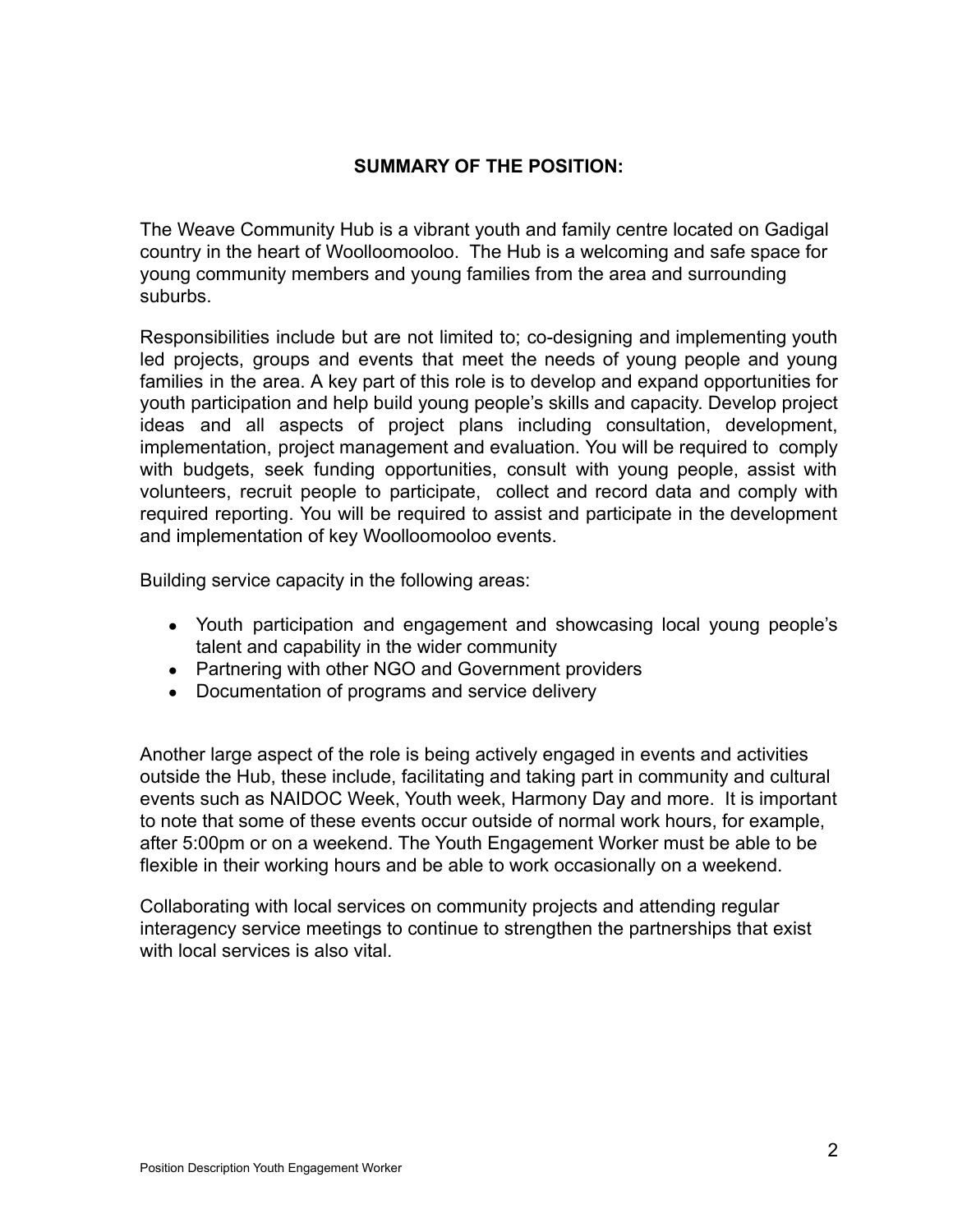#### **SUMMARY OF THE POSITION:**

The Weave Community Hub is a vibrant youth and family centre located on Gadigal country in the heart of Woolloomooloo. The Hub is a welcoming and safe space for young community members and young families from the area and surrounding suburbs.

Responsibilities include but are not limited to; co-designing and implementing youth led projects, groups and events that meet the needs of young people and young families in the area. A key part of this role is to develop and expand opportunities for youth participation and help build young people's skills and capacity. Develop project ideas and all aspects of project plans including consultation, development, implementation, project management and evaluation. You will be required to comply with budgets, seek funding opportunities, consult with young people, assist with volunteers, recruit people to participate, collect and record data and comply with required reporting. You will be required to assist and participate in the development and implementation of key Woolloomooloo events.

Building service capacity in the following areas:

- Youth participation and engagement and showcasing local young people's talent and capability in the wider community
- Partnering with other NGO and Government providers
- Documentation of programs and service delivery

Another large aspect of the role is being actively engaged in events and activities outside the Hub, these include, facilitating and taking part in community and cultural events such as NAIDOC Week, Youth week, Harmony Day and more. It is important to note that some of these events occur outside of normal work hours, for example, after 5:00pm or on a weekend. The Youth Engagement Worker must be able to be flexible in their working hours and be able to work occasionally on a weekend.

Collaborating with local services on community projects and attending regular interagency service meetings to continue to strengthen the partnerships that exist with local services is also vital.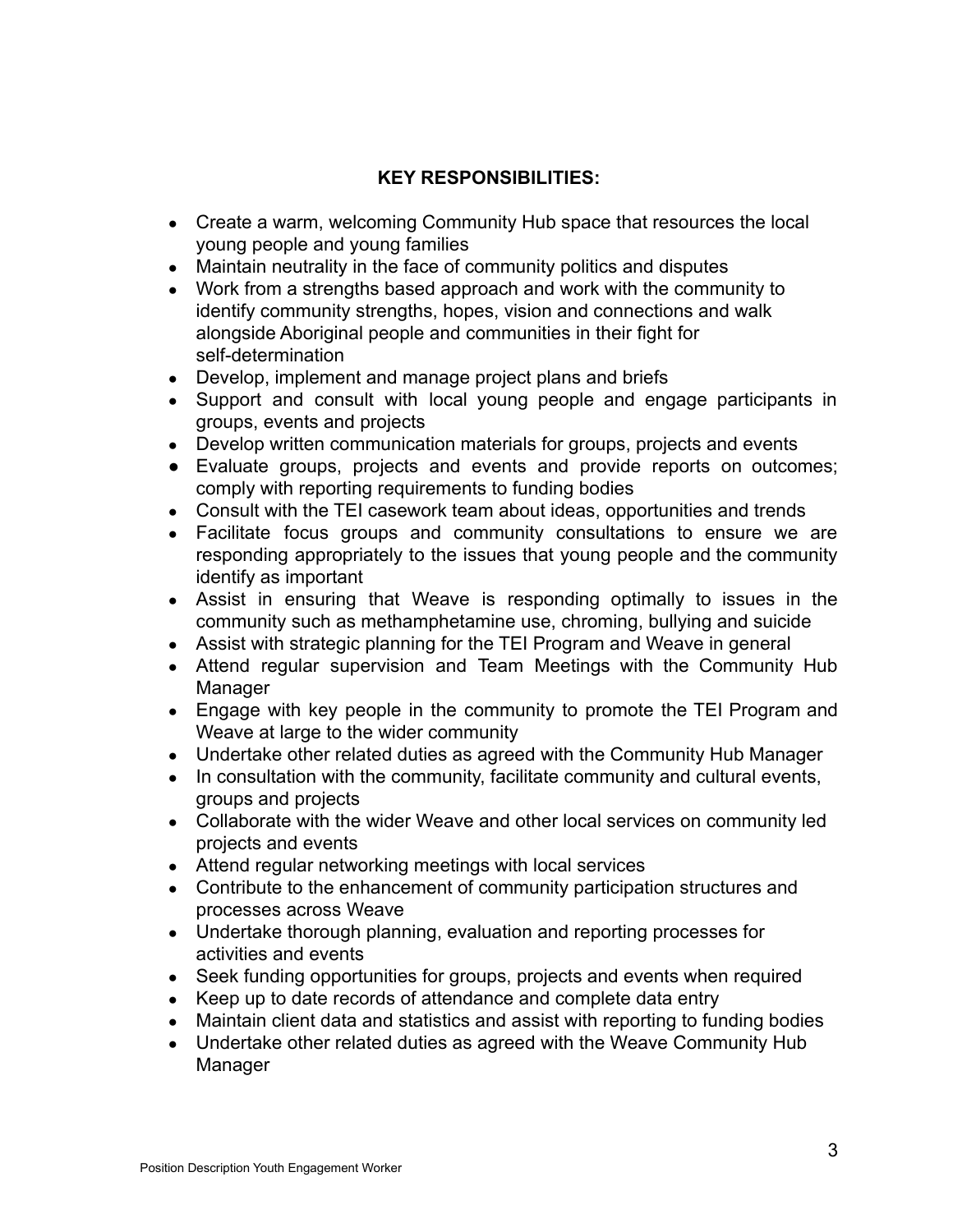#### **KEY RESPONSIBILITIES:**

- Create a warm, welcoming Community Hub space that resources the local young people and young families
- Maintain neutrality in the face of community politics and disputes
- Work from a strengths based approach and work with the community to identify community strengths, hopes, vision and connections and walk alongside Aboriginal people and communities in their fight for self-determination
- Develop, implement and manage project plans and briefs
- Support and consult with local young people and engage participants in groups, events and projects
- Develop written communication materials for groups, projects and events
- Evaluate groups, projects and events and provide reports on outcomes; comply with reporting requirements to funding bodies
- Consult with the TEI casework team about ideas, opportunities and trends
- Facilitate focus groups and community consultations to ensure we are responding appropriately to the issues that young people and the community identify as important
- Assist in ensuring that Weave is responding optimally to issues in the community such as methamphetamine use, chroming, bullying and suicide
- Assist with strategic planning for the TEI Program and Weave in general
- Attend regular supervision and Team Meetings with the Community Hub Manager
- Engage with key people in the community to promote the TEI Program and Weave at large to the wider community
- Undertake other related duties as agreed with the Community Hub Manager
- In consultation with the community, facilitate community and cultural events, groups and projects
- Collaborate with the wider Weave and other local services on community led projects and events
- Attend regular networking meetings with local services
- Contribute to the enhancement of community participation structures and processes across Weave
- Undertake thorough planning, evaluation and reporting processes for activities and events
- Seek funding opportunities for groups, projects and events when required
- Keep up to date records of attendance and complete data entry
- Maintain client data and statistics and assist with reporting to funding bodies
- Undertake other related duties as agreed with the Weave Community Hub Manager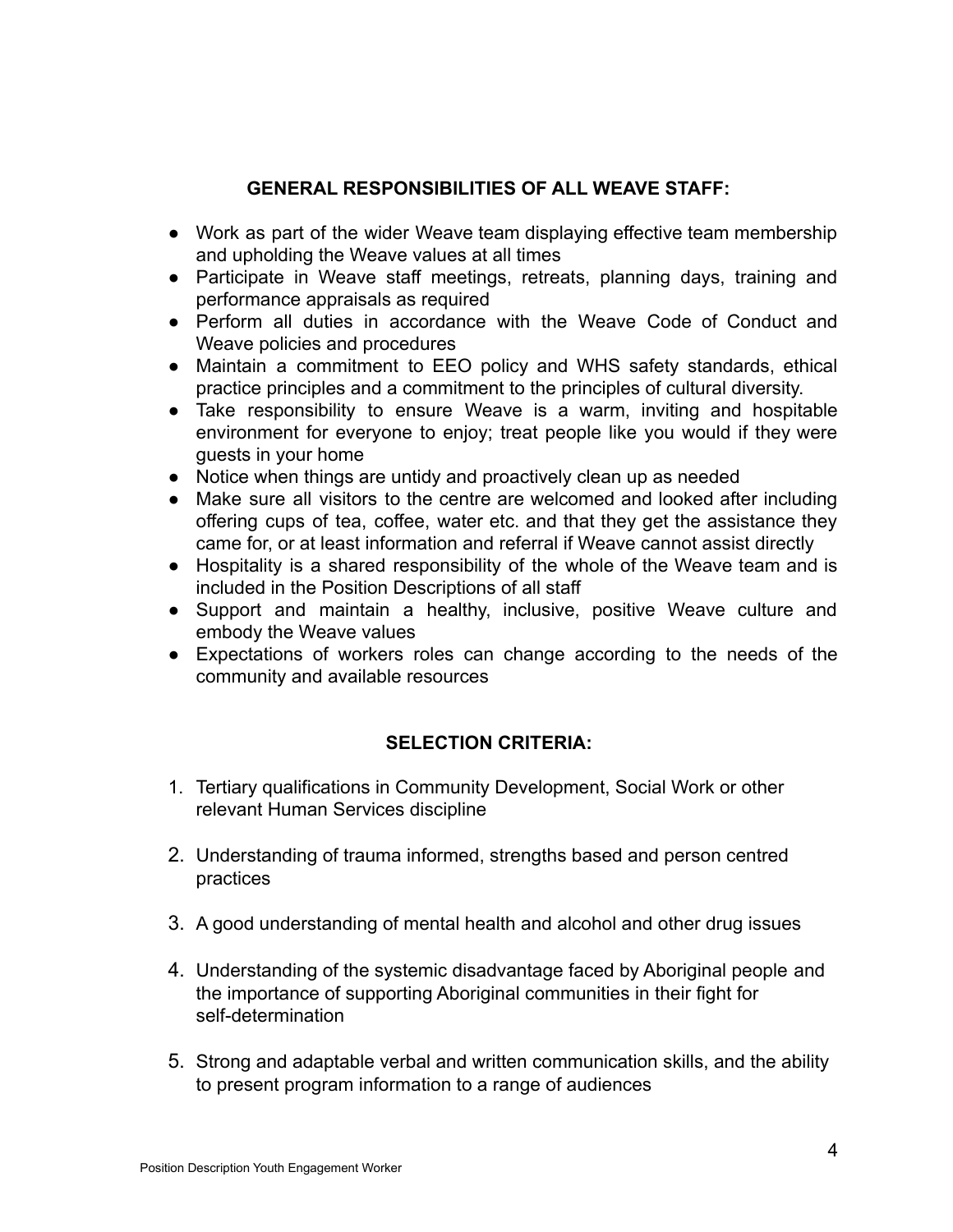### **GENERAL RESPONSIBILITIES OF ALL WEAVE STAFF:**

- Work as part of the wider Weave team displaying effective team membership and upholding the Weave values at all times
- Participate in Weave staff meetings, retreats, planning days, training and performance appraisals as required
- Perform all duties in accordance with the Weave Code of Conduct and Weave policies and procedures
- Maintain a commitment to EEO policy and WHS safety standards, ethical practice principles and a commitment to the principles of cultural diversity.
- Take responsibility to ensure Weave is a warm, inviting and hospitable environment for everyone to enjoy; treat people like you would if they were guests in your home
- Notice when things are untidy and proactively clean up as needed
- Make sure all visitors to the centre are welcomed and looked after including offering cups of tea, coffee, water etc. and that they get the assistance they came for, or at least information and referral if Weave cannot assist directly
- Hospitality is a shared responsibility of the whole of the Weave team and is included in the Position Descriptions of all staff
- Support and maintain a healthy, inclusive, positive Weave culture and embody the Weave values
- Expectations of workers roles can change according to the needs of the community and available resources

### **SELECTION CRITERIA:**

- 1. Tertiary qualifications in Community Development, Social Work or other relevant Human Services discipline
- 2. Understanding of trauma informed, strengths based and person centred practices
- 3. A good understanding of mental health and alcohol and other drug issues
- 4. Understanding of the systemic disadvantage faced by Aboriginal people and the importance of supporting Aboriginal communities in their fight for self-determination
- 5. Strong and adaptable verbal and written communication skills, and the ability to present program information to a range of audiences